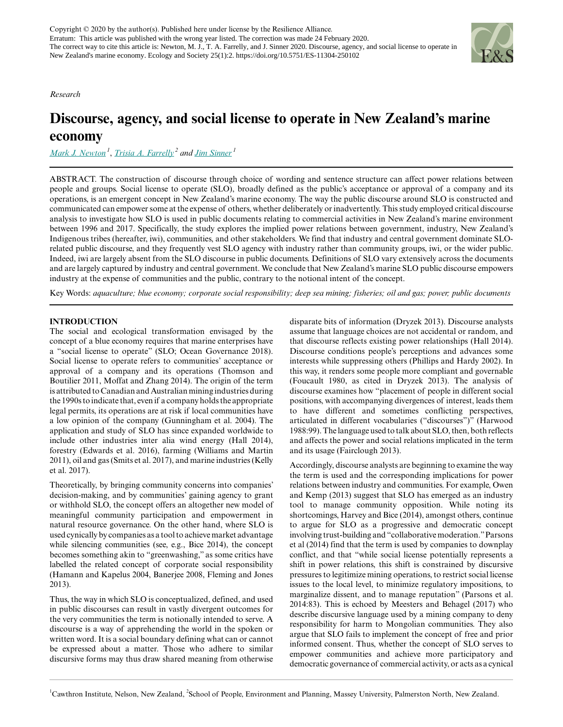

*Research*

# **Discourse, agency, and social license to operate in New Zealand's marine economy**

*[Mark J. Newton](mailto:mark.newton@cawthron.org.nz)<sup>1</sup>* , *[Trisia A. Farrelly](mailto:T.Farrelly@massey.ac.nz)<sup>2</sup> and [Jim Sinner](mailto:jim.sinner@cawthron.org.nz)<sup>1</sup>*

ABSTRACT. The construction of discourse through choice of wording and sentence structure can affect power relations between people and groups. Social license to operate (SLO), broadly defined as the public's acceptance or approval of a company and its operations, is an emergent concept in New Zealand's marine economy. The way the public discourse around SLO is constructed and communicated can empower some at the expense of others, whether deliberately or inadvertently. This study employed critical discourse analysis to investigate how SLO is used in public documents relating to commercial activities in New Zealand's marine environment between 1996 and 2017. Specifically, the study explores the implied power relations between government, industry, New Zealand's Indigenous tribes (hereafter, iwi), communities, and other stakeholders. We find that industry and central government dominate SLOrelated public discourse, and they frequently vest SLO agency with industry rather than community groups, iwi, or the wider public. Indeed, iwi are largely absent from the SLO discourse in public documents. Definitions of SLO vary extensively across the documents and are largely captured by industry and central government. We conclude that New Zealand's marine SLO public discourse empowers industry at the expense of communities and the public, contrary to the notional intent of the concept. School of People and the school of People and People and Planning, People and Planning and Planning and Planning and Planning and Planning and Planning and Planning and Planning and Planning and Planning and Planning and

Key Words: *aquaculture; blue economy; corporate social responsibility; deep sea mining; fisheries; oil and gas; power; public documents*

# **INTRODUCTION**

The social and ecological transformation envisaged by the concept of a blue economy requires that marine enterprises have a "social license to operate" (SLO; Ocean Governance 2018). Social license to operate refers to communities' acceptance or approval of a company and its operations (Thomson and Boutilier 2011, Moffat and Zhang 2014). The origin of the term is attributed to Canadian and Australian mining industries during the 1990s to indicate that, even if a company holds the appropriate legal permits, its operations are at risk if local communities have a low opinion of the company (Gunningham et al. 2004). The application and study of SLO has since expanded worldwide to include other industries inter alia wind energy (Hall 2014), forestry (Edwards et al. 2016), farming (Williams and Martin 2011), oil and gas (Smits et al. 2017), and marine industries (Kelly et al. 2017).

Theoretically, by bringing community concerns into companies' decision-making, and by communities' gaining agency to grant or withhold SLO, the concept offers an altogether new model of meaningful community participation and empowerment in natural resource governance. On the other hand, where SLO is used cynically by companies as a tool to achieve market advantage while silencing communities (see, e.g., Bice 2014), the concept becomes something akin to "greenwashing," as some critics have labelled the related concept of corporate social responsibility (Hamann and Kapelus 2004, Banerjee 2008, Fleming and Jones 2013).

Thus, the way in which SLO is conceptualized, defined, and used in public discourses can result in vastly divergent outcomes for the very communities the term is notionally intended to serve. A discourse is a way of apprehending the world in the spoken or written word. It is a social boundary defining what can or cannot be expressed about a matter. Those who adhere to similar discursive forms may thus draw shared meaning from otherwise

disparate bits of information (Dryzek 2013). Discourse analysts assume that language choices are not accidental or random, and that discourse reflects existing power relationships (Hall 2014). Discourse conditions people's perceptions and advances some interests while suppressing others (Phillips and Hardy 2002). In this way, it renders some people more compliant and governable (Foucault 1980, as cited in Dryzek 2013). The analysis of discourse examines how "placement of people in different social positions, with accompanying divergences of interest, leads them to have different and sometimes conflicting perspectives, articulated in different vocabularies ("discourses")" (Harwood 1988:99). The language used to talk about SLO, then, both reflects and affects the power and social relations implicated in the term and its usage (Fairclough 2013).

Accordingly, discourse analysts are beginning to examine the way the term is used and the corresponding implications for power relations between industry and communities. For example, Owen and Kemp (2013) suggest that SLO has emerged as an industry tool to manage community opposition. While noting its shortcomings, Harvey and Bice (2014), amongst others, continue to argue for SLO as a progressive and democratic concept involving trust-building and "collaborative moderation." Parsons et al (2014) find that the term is used by companies to downplay conflict, and that "while social license potentially represents a shift in power relations, this shift is constrained by discursive pressures to legitimize mining operations, to restrict social license issues to the local level, to minimize regulatory impositions, to marginalize dissent, and to manage reputation" (Parsons et al. 2014:83). This is echoed by Meesters and Behagel (2017) who describe discursive language used by a mining company to deny responsibility for harm to Mongolian communities. They also argue that SLO fails to implement the concept of free and prior informed consent. Thus, whether the concept of SLO serves to empower communities and achieve more participatory and democratic governance of commercial activity, or acts as a cynical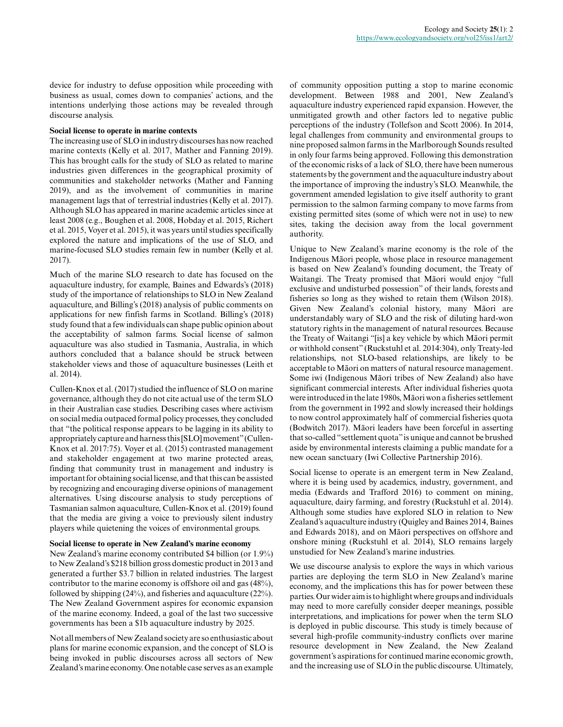device for industry to defuse opposition while proceeding with business as usual, comes down to companies' actions, and the intentions underlying those actions may be revealed through discourse analysis.

#### **Social license to operate in marine contexts**

The increasing use of SLO in industry discourses has now reached marine contexts (Kelly et al. 2017, Mather and Fanning 2019). This has brought calls for the study of SLO as related to marine industries given differences in the geographical proximity of communities and stakeholder networks (Mather and Fanning 2019), and as the involvement of communities in marine management lags that of terrestrial industries (Kelly et al. 2017). Although SLO has appeared in marine academic articles since at least 2008 (e.g., Boughen et al. 2008, Hobday et al. 2015, Richert et al. 2015, Voyer et al. 2015), it was years until studies specifically explored the nature and implications of the use of SLO, and marine-focused SLO studies remain few in number (Kelly et al. 2017).

Much of the marine SLO research to date has focused on the aquaculture industry, for example, Baines and Edwards's (2018) study of the importance of relationships to SLO in New Zealand aquaculture, and Billing's (2018) analysis of public comments on applications for new finfish farms in Scotland. Billing's (2018) study found that a few individuals can shape public opinion about the acceptability of salmon farms. Social license of salmon aquaculture was also studied in Tasmania, Australia, in which authors concluded that a balance should be struck between stakeholder views and those of aquaculture businesses (Leith et al. 2014).

Cullen-Knox et al. (2017) studied the influence of SLO on marine governance, although they do not cite actual use of the term SLO in their Australian case studies. Describing cases where activism on social media outpaced formal policy processes, they concluded that "the political response appears to be lagging in its ability to appropriately capture and harness this [SLO] movement" (Cullen-Knox et al. 2017:75). Voyer et al. (2015) contrasted management and stakeholder engagement at two marine protected areas, finding that community trust in management and industry is important for obtaining social license, and that this can be assisted by recognizing and encouraging diverse opinions of management alternatives. Using discourse analysis to study perceptions of Tasmanian salmon aquaculture, Cullen-Knox et al. (2019) found that the media are giving a voice to previously silent industry players while quietening the voices of environmental groups.

#### **Social license to operate in New Zealand's marine economy**

New Zealand's marine economy contributed \$4 billion (or 1.9%) to New Zealand's \$218 billion gross domestic product in 2013 and generated a further \$3.7 billion in related industries. The largest contributor to the marine economy is offshore oil and gas (48%), followed by shipping (24%), and fisheries and aquaculture (22%). The New Zealand Government aspires for economic expansion of the marine economy. Indeed, a goal of the last two successive governments has been a \$1b aquaculture industry by 2025.

Not all members of New Zealand society are so enthusiastic about plans for marine economic expansion, and the concept of SLO is being invoked in public discourses across all sectors of New Zealand's marine economy. One notable case serves as an example of community opposition putting a stop to marine economic development. Between 1988 and 2001, New Zealand's aquaculture industry experienced rapid expansion. However, the unmitigated growth and other factors led to negative public perceptions of the industry (Tollefson and Scott 2006). In 2014, legal challenges from community and environmental groups to nine proposed salmon farms in the Marlborough Sounds resulted in only four farms being approved. Following this demonstration of the economic risks of a lack of SLO, there have been numerous statements by the government and the aquaculture industry about the importance of improving the industry's SLO. Meanwhile, the government amended legislation to give itself authority to grant permission to the salmon farming company to move farms from existing permitted sites (some of which were not in use) to new sites, taking the decision away from the local government authority.

Unique to New Zealand's marine economy is the role of the Indigenous Māori people, whose place in resource management is based on New Zealand's founding document, the Treaty of Waitangi. The Treaty promised that Māori would enjoy "full exclusive and undisturbed possession" of their lands, forests and fisheries so long as they wished to retain them (Wilson 2018). Given New Zealand's colonial history, many Māori are understandably wary of SLO and the risk of diluting hard-won statutory rights in the management of natural resources. Because the Treaty of Waitangi "[is] a key vehicle by which Māori permit or withhold consent" (Ruckstuhl et al. 2014:304), only Treaty-led relationships, not SLO-based relationships, are likely to be acceptable to Māori on matters of natural resource management. Some iwi (Indigenous Māori tribes of New Zealand) also have significant commercial interests. After individual fisheries quota were introduced in the late 1980s, Māori won a fisheries settlement from the government in 1992 and slowly increased their holdings to now control approximately half of commercial fisheries quota (Bodwitch 2017). Māori leaders have been forceful in asserting that so-called "settlement quota" is unique and cannot be brushed aside by environmental interests claiming a public mandate for a new ocean sanctuary (Iwi Collective Partnership 2016).

Social license to operate is an emergent term in New Zealand, where it is being used by academics, industry, government, and media (Edwards and Trafford 2016) to comment on mining, aquaculture, dairy farming, and forestry (Ruckstuhl et al. 2014). Although some studies have explored SLO in relation to New Zealand's aquaculture industry (Quigley and Baines 2014, Baines and Edwards 2018), and on Māori perspectives on offshore and onshore mining (Ruckstuhl et al. 2014), SLO remains largely unstudied for New Zealand's marine industries.

We use discourse analysis to explore the ways in which various parties are deploying the term SLO in New Zealand's marine economy, and the implications this has for power between these parties. Our wider aim is to highlight where groups and individuals may need to more carefully consider deeper meanings, possible interpretations, and implications for power when the term SLO is deployed in public discourse. This study is timely because of several high-profile community-industry conflicts over marine resource development in New Zealand, the New Zealand government's aspirations for continued marine economic growth, and the increasing use of SLO in the public discourse. Ultimately,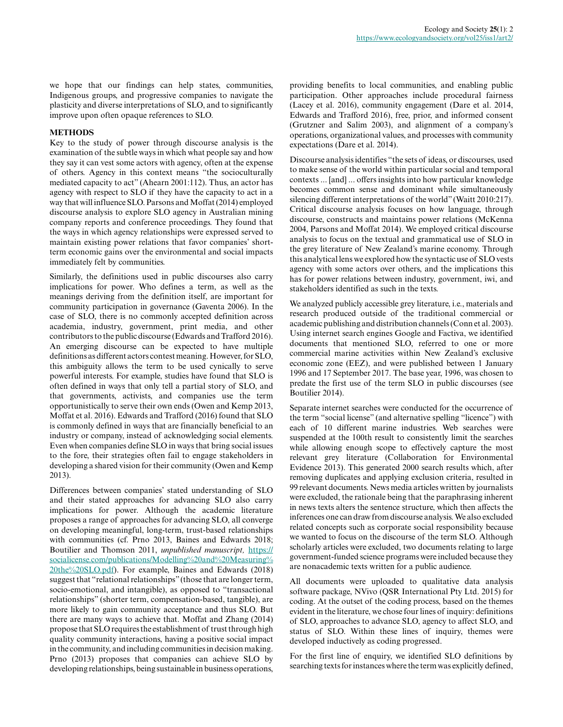we hope that our findings can help states, communities, Indigenous groups, and progressive companies to navigate the plasticity and diverse interpretations of SLO, and to significantly improve upon often opaque references to SLO.

## **METHODS**

Key to the study of power through discourse analysis is the examination of the subtle ways in which what people say and how they say it can vest some actors with agency, often at the expense of others. Agency in this context means "the socioculturally mediated capacity to act" (Ahearn 2001:112). Thus, an actor has agency with respect to SLO if they have the capacity to act in a way that will influence SLO. Parsons and Moffat (2014) employed discourse analysis to explore SLO agency in Australian mining company reports and conference proceedings. They found that the ways in which agency relationships were expressed served to maintain existing power relations that favor companies' shortterm economic gains over the environmental and social impacts immediately felt by communities.

Similarly, the definitions used in public discourses also carry implications for power. Who defines a term, as well as the meanings deriving from the definition itself, are important for community participation in governance (Gaventa 2006). In the case of SLO, there is no commonly accepted definition across academia, industry, government, print media, and other contributors to the public discourse (Edwards and Trafford 2016). An emerging discourse can be expected to have multiple definitions as different actors contest meaning. However, for SLO, this ambiguity allows the term to be used cynically to serve powerful interests. For example, studies have found that SLO is often defined in ways that only tell a partial story of SLO, and that governments, activists, and companies use the term opportunistically to serve their own ends (Owen and Kemp 2013, Moffat et al. 2016). Edwards and Trafford (2016) found that SLO is commonly defined in ways that are financially beneficial to an industry or company, instead of acknowledging social elements. Even when companies define SLO in ways that bring social issues to the fore, their strategies often fail to engage stakeholders in developing a shared vision for their community (Owen and Kemp 2013).

Differences between companies' stated understanding of SLO and their stated approaches for advancing SLO also carry implications for power. Although the academic literature proposes a range of approaches for advancing SLO, all converge on developing meaningful, long-term, trust-based relationships with communities (cf. Prno 2013, Baines and Edwards 2018; Boutilier and Thomson 2011, *unpublished manuscript,* [https://](https://socialicense.com/publications/Modelling%20and%20Measuring%20the%20SLO.pdf) [socialicense.com/publications/Modelling%20and%20Measuring%](https://socialicense.com/publications/Modelling%20and%20Measuring%20the%20SLO.pdf) [20the%20SLO.pdf\)](https://socialicense.com/publications/Modelling%20and%20Measuring%20the%20SLO.pdf). For example, Baines and Edwards (2018) suggest that "relational relationships" (those that are longer term, socio-emotional, and intangible), as opposed to "transactional relationships" (shorter term, compensation-based, tangible), are more likely to gain community acceptance and thus SLO. But there are many ways to achieve that. Moffat and Zhang (2014) propose that SLO requires the establishment of trust through high quality community interactions, having a positive social impact in the community, and including communities in decision making. Prno (2013) proposes that companies can achieve SLO by developing relationships, being sustainable in business operations,

providing benefits to local communities, and enabling public participation. Other approaches include procedural fairness (Lacey et al. 2016), community engagement (Dare et al. 2014, Edwards and Trafford 2016), free, prior, and informed consent (Grutzner and Salim 2003), and alignment of a company's operations, organizational values, and processes with community expectations (Dare et al. 2014).

Discourse analysis identifies "the sets of ideas, or discourses, used to make sense of the world within particular social and temporal contexts ... [and] ... offers insights into how particular knowledge becomes common sense and dominant while simultaneously silencing different interpretations of the world" (Waitt 2010:217). Critical discourse analysis focuses on how language, through discourse, constructs and maintains power relations (McKenna 2004, Parsons and Moffat 2014). We employed critical discourse analysis to focus on the textual and grammatical use of SLO in the grey literature of New Zealand's marine economy. Through this analytical lens we explored how the syntactic use of SLO vests agency with some actors over others, and the implications this has for power relations between industry, government, iwi, and stakeholders identified as such in the texts.

We analyzed publicly accessible grey literature, i.e., materials and research produced outside of the traditional commercial or academic publishing and distribution channels (Conn et al. 2003). Using internet search engines Google and Factiva, we identified documents that mentioned SLO, referred to one or more commercial marine activities within New Zealand's exclusive economic zone (EEZ), and were published between 1 January 1996 and 17 September 2017. The base year, 1996, was chosen to predate the first use of the term SLO in public discourses (see Boutilier 2014).

Separate internet searches were conducted for the occurrence of the term "social license" (and alternative spelling "licence") with each of 10 different marine industries. Web searches were suspended at the 100th result to consistently limit the searches while allowing enough scope to effectively capture the most relevant grey literature (Collaboration for Environmental Evidence 2013). This generated 2000 search results which, after removing duplicates and applying exclusion criteria, resulted in 99 relevant documents. News media articles written by journalists were excluded, the rationale being that the paraphrasing inherent in news texts alters the sentence structure, which then affects the inferences one can draw from discourse analysis. We also excluded related concepts such as corporate social responsibility because we wanted to focus on the discourse of the term SLO. Although scholarly articles were excluded, two documents relating to large government-funded science programs were included because they are nonacademic texts written for a public audience.

All documents were uploaded to qualitative data analysis software package, NVivo (QSR International Pty Ltd. 2015) for coding. At the outset of the coding process, based on the themes evident in the literature, we chose four lines of inquiry: definitions of SLO, approaches to advance SLO, agency to affect SLO, and status of SLO. Within these lines of inquiry, themes were developed inductively as coding progressed.

For the first line of enquiry, we identified SLO definitions by searching texts for instances where the term was explicitly defined,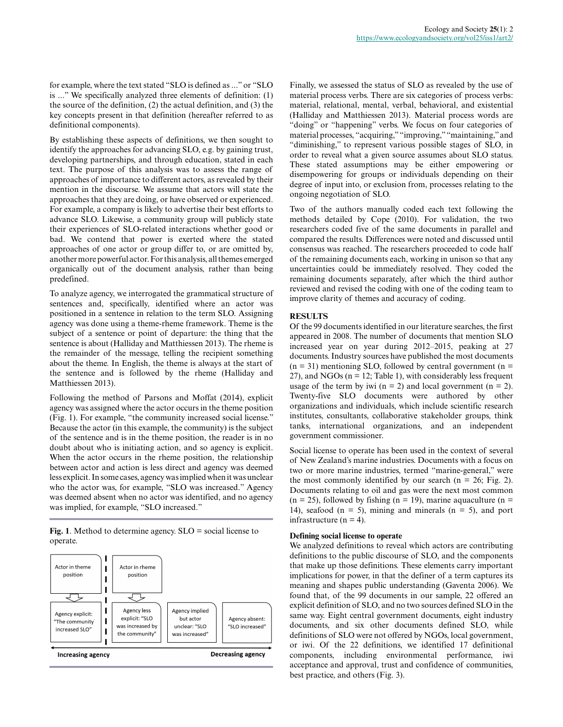for example, where the text stated "SLO is defined as ..." or "SLO is ..." We specifically analyzed three elements of definition: (1) the source of the definition, (2) the actual definition, and (3) the key concepts present in that definition (hereafter referred to as definitional components).

By establishing these aspects of definitions, we then sought to identify the approaches for advancing SLO, e.g. by gaining trust, developing partnerships, and through education, stated in each text. The purpose of this analysis was to assess the range of approaches of importance to different actors, as revealed by their mention in the discourse. We assume that actors will state the approaches that they are doing, or have observed or experienced. For example, a company is likely to advertise their best efforts to advance SLO. Likewise, a community group will publicly state their experiences of SLO-related interactions whether good or bad. We contend that power is exerted where the stated approaches of one actor or group differ to, or are omitted by, another more powerful actor. For this analysis, all themes emerged organically out of the document analysis, rather than being predefined.

To analyze agency, we interrogated the grammatical structure of sentences and, specifically, identified where an actor was positioned in a sentence in relation to the term SLO. Assigning agency was done using a theme-rheme framework. Theme is the subject of a sentence or point of departure: the thing that the sentence is about (Halliday and Matthiessen 2013). The rheme is the remainder of the message, telling the recipient something about the theme. In English, the theme is always at the start of the sentence and is followed by the rheme (Halliday and Matthiessen 2013).

Following the method of Parsons and Moffat (2014), explicit agency was assigned where the actor occurs in the theme position (Fig. 1). For example, "the community increased social license." Because the actor (in this example, the community) is the subject of the sentence and is in the theme position, the reader is in no doubt about who is initiating action, and so agency is explicit. When the actor occurs in the rheme position, the relationship between actor and action is less direct and agency was deemed less explicit. In some cases, agency was implied when it was unclear who the actor was, for example, "SLO was increased." Agency was deemed absent when no actor was identified, and no agency was implied, for example, "SLO increased."

**Fig. 1**. Method to determine agency. SLO = social license to operate.



Finally, we assessed the status of SLO as revealed by the use of material process verbs. There are six categories of process verbs: material, relational, mental, verbal, behavioral, and existential (Halliday and Matthiessen 2013). Material process words are "doing" or "happening" verbs. We focus on four categories of material processes, "acquiring," "improving," "maintaining," and "diminishing," to represent various possible stages of SLO, in order to reveal what a given source assumes about SLO status. These stated assumptions may be either empowering or disempowering for groups or individuals depending on their degree of input into, or exclusion from, processes relating to the ongoing negotiation of SLO.

Two of the authors manually coded each text following the methods detailed by Cope (2010). For validation, the two researchers coded five of the same documents in parallel and compared the results. Differences were noted and discussed until consensus was reached. The researchers proceeded to code half of the remaining documents each, working in unison so that any uncertainties could be immediately resolved. They coded the remaining documents separately, after which the third author reviewed and revised the coding with one of the coding team to improve clarity of themes and accuracy of coding.

# **RESULTS**

Of the 99 documents identified in our literature searches, the first appeared in 2008. The number of documents that mention SLO increased year on year during 2012–2015, peaking at 27 documents. Industry sources have published the most documents  $(n = 31)$  mentioning SLO, followed by central government  $(n = 11)$ 27), and NGOs (n = 12; Table 1), with considerably less frequent usage of the term by iwi ( $n = 2$ ) and local government ( $n = 2$ ). Twenty-five SLO documents were authored by other organizations and individuals, which include scientific research institutes, consultants, collaborative stakeholder groups, think tanks, international organizations, and an independent government commissioner.

Social license to operate has been used in the context of several of New Zealand's marine industries. Documents with a focus on two or more marine industries, termed "marine-general," were the most commonly identified by our search ( $n = 26$ ; Fig. 2). Documents relating to oil and gas were the next most common  $(n = 25)$ , followed by fishing  $(n = 19)$ , marine aquaculture  $(n = 19)$ 14), seafood ( $n = 5$ ), mining and minerals ( $n = 5$ ), and port infrastructure ( $n = 4$ ).

# **Defining social license to operate**

We analyzed definitions to reveal which actors are contributing definitions to the public discourse of SLO, and the components that make up those definitions. These elements carry important implications for power, in that the definer of a term captures its meaning and shapes public understanding (Gaventa 2006). We found that, of the 99 documents in our sample, 22 offered an explicit definition of SLO, and no two sources defined SLO in the same way. Eight central government documents, eight industry documents, and six other documents defined SLO, while definitions of SLO were not offered by NGOs, local government, or iwi. Of the 22 definitions, we identified 17 definitional components, including environmental performance, iwi acceptance and approval, trust and confidence of communities, best practice, and others (Fig. 3).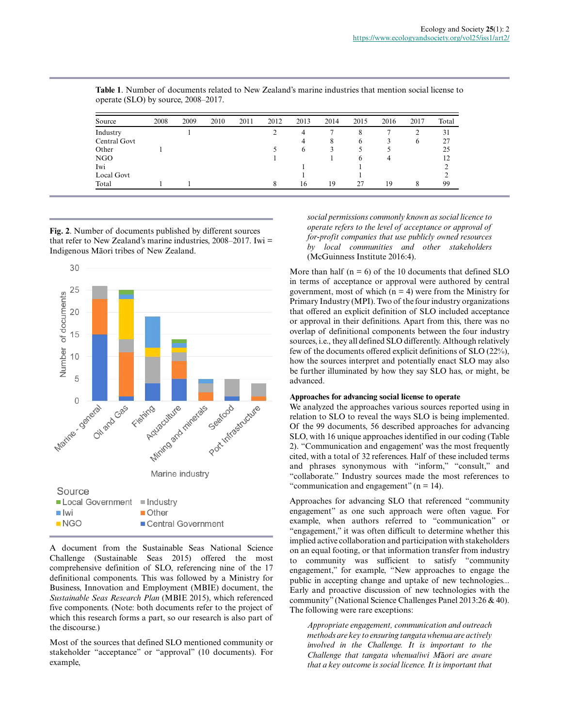| Source       | 2008 | 2009 | 2010 | 2011 | 2012 | 2013         | 2014 | 2015         | 2016 | 2017 | Total |
|--------------|------|------|------|------|------|--------------|------|--------------|------|------|-------|
| Industry     |      |      |      |      |      | 4            |      |              |      |      | 31    |
| Central Govt |      |      |      |      |      | 4            | x    | 6            |      | 6    | 27    |
| Other        |      |      |      |      |      | <sub>(</sub> |      |              |      |      | 25    |
| NGO          |      |      |      |      |      |              |      | <sub>b</sub> |      |      | 12    |
| Iwi          |      |      |      |      |      |              |      |              |      |      |       |
| Local Govt   |      |      |      |      |      |              |      |              |      |      |       |
| Total        |      |      |      |      |      | 16           | 19   | 27           | 19   | 8    | 99    |

**Table 1**. Number of documents related to New Zealand's marine industries that mention social license to operate (SLO) by source, 2008–2017.

**Fig. 2**. Number of documents published by different sources that refer to New Zealand's marine industries, 2008–2017. Iwi = Indigenous Māori tribes of New Zealand.



A document from the Sustainable Seas National Science Challenge (Sustainable Seas 2015) offered the most comprehensive definition of SLO, referencing nine of the 17 definitional components. This was followed by a Ministry for Business, Innovation and Employment (MBIE) document, the *Sustainable Seas Research Plan* (MBIE 2015), which referenced five components. (Note: both documents refer to the project of which this research forms a part, so our research is also part of the discourse.)

Most of the sources that defined SLO mentioned community or stakeholder "acceptance" or "approval" (10 documents). For example,

*social permissions commonly known as social licence to operate refers to the level of acceptance or approval of for-profit companies that use publicly owned resources by local communities and other stakeholders* (McGuinness Institute 2016:4).

More than half  $(n = 6)$  of the 10 documents that defined SLO in terms of acceptance or approval were authored by central government, most of which  $(n = 4)$  were from the Ministry for Primary Industry (MPI). Two of the four industry organizations that offered an explicit definition of SLO included acceptance or approval in their definitions. Apart from this, there was no overlap of definitional components between the four industry sources, i.e., they all defined SLO differently. Although relatively few of the documents offered explicit definitions of SLO (22%), how the sources interpret and potentially enact SLO may also be further illuminated by how they say SLO has, or might, be advanced.

#### **Approaches for advancing social license to operate**

We analyzed the approaches various sources reported using in relation to SLO to reveal the ways SLO is being implemented. Of the 99 documents, 56 described approaches for advancing SLO, with 16 unique approaches identified in our coding (Table 2). "Communication and engagement' was the most frequently cited, with a total of 32 references. Half of these included terms and phrases synonymous with "inform," "consult," and "collaborate." Industry sources made the most references to "communication and engagement" (n = 14).

Approaches for advancing SLO that referenced "community engagement" as one such approach were often vague. For example, when authors referred to "communication" or "engagement," it was often difficult to determine whether this implied active collaboration and participation with stakeholders on an equal footing, or that information transfer from industry to community was sufficient to satisfy "community engagement," for example, "New approaches to engage the public in accepting change and uptake of new technologies... Early and proactive discussion of new technologies with the community" (National Science Challenges Panel 2013:26 & 40). The following were rare exceptions:

*Appropriate engagement, communication and outreach methods are key to ensuring tangata whenua are actively involved in the Challenge. It is important to the Challenge that tangata whenua/iwi M*ā*ori are aware that a key outcome is social licence. It is important that*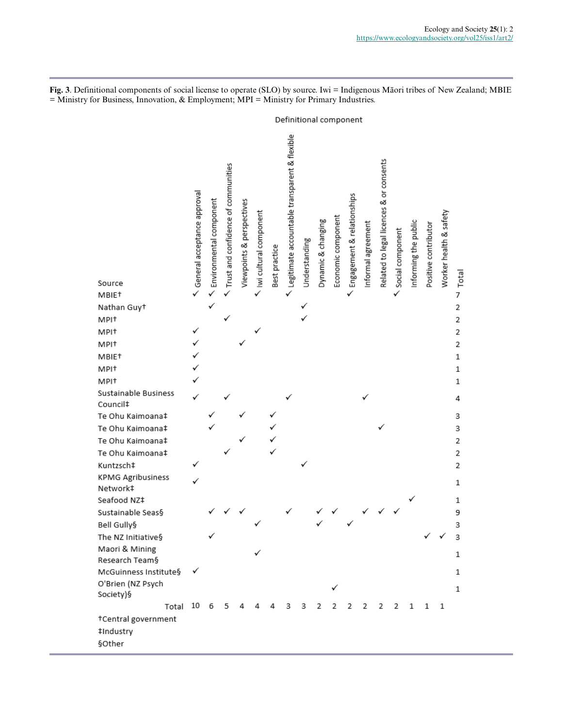**Fig. 3**. Definitional components of social license to operate (SLO) by source. Iwi = Indigenous Māori tribes of New Zealand; MBIE = Ministry for Business, Innovation, & Employment; MPI = Ministry for Primary Industries.

|                                      |                             |                         |                                     |                           |                        |               | Definitional component                        |               |                    |                    |                            |                    |                                         |                  |                      |                      |                        |       |
|--------------------------------------|-----------------------------|-------------------------|-------------------------------------|---------------------------|------------------------|---------------|-----------------------------------------------|---------------|--------------------|--------------------|----------------------------|--------------------|-----------------------------------------|------------------|----------------------|----------------------|------------------------|-------|
|                                      | General acceptance approval | Environmental component | Trust and confidence of communities | Viewpoints & perspectives | Iwi cultural component | Best practice | Legitimate accountable transparent & flexible | Understanding | Dynamic & changing | Economic component | Engagement & relationships | Informal agreement | Related to legal licences & or consents | Social component | Informing the public | Positive contributor | Worker health & safety | Total |
| Source<br>MBIE <sup>+</sup>          |                             |                         |                                     |                           |                        |               |                                               |               |                    |                    |                            |                    |                                         |                  |                      |                      |                        | 7     |
| Nathan Guyt                          |                             | ✓                       |                                     |                           |                        |               |                                               |               |                    |                    |                            |                    |                                         |                  |                      |                      |                        | 2     |
| MPI <sup>+</sup>                     |                             |                         |                                     |                           |                        |               |                                               |               |                    |                    |                            |                    |                                         |                  |                      |                      |                        | 2     |
| MPI <sup>+</sup>                     |                             |                         |                                     |                           |                        |               |                                               |               |                    |                    |                            |                    |                                         |                  |                      |                      |                        | 2     |
| MPI <sup>+</sup>                     |                             |                         |                                     |                           |                        |               |                                               |               |                    |                    |                            |                    |                                         |                  |                      |                      |                        | 2     |
| MBIE <sup>+</sup>                    |                             |                         |                                     |                           |                        |               |                                               |               |                    |                    |                            |                    |                                         |                  |                      |                      |                        | 1     |
| MPI <sup>+</sup>                     |                             |                         |                                     |                           |                        |               |                                               |               |                    |                    |                            |                    |                                         |                  |                      |                      |                        | 1     |
| MPI <sup>+</sup>                     |                             |                         |                                     |                           |                        |               |                                               |               |                    |                    |                            |                    |                                         |                  |                      |                      |                        | 1     |
| Sustainable Business<br>Council‡     |                             |                         |                                     |                           |                        |               |                                               |               |                    |                    |                            |                    |                                         |                  |                      |                      |                        | 4     |
| Te Ohu Kaimoana‡                     |                             |                         |                                     |                           |                        |               |                                               |               |                    |                    |                            |                    |                                         |                  |                      |                      |                        | 3     |
| Te Ohu Kaimoana‡                     |                             |                         |                                     |                           |                        |               |                                               |               |                    |                    |                            |                    |                                         |                  |                      |                      |                        | 3     |
| Te Ohu Kaimoana‡                     |                             |                         |                                     |                           |                        |               |                                               |               |                    |                    |                            |                    |                                         |                  |                      |                      |                        | 2     |
| Te Ohu Kaimoana‡                     |                             |                         |                                     |                           |                        |               |                                               |               |                    |                    |                            |                    |                                         |                  |                      |                      |                        | 2     |
| Kuntzsch‡                            |                             |                         |                                     |                           |                        |               |                                               |               |                    |                    |                            |                    |                                         |                  |                      |                      |                        | 2     |
| <b>KPMG Agribusiness</b><br>Network‡ |                             |                         |                                     |                           |                        |               |                                               |               |                    |                    |                            |                    |                                         |                  |                      |                      |                        | 1     |
| Seafood NZ‡                          |                             |                         |                                     |                           |                        |               |                                               |               |                    |                    |                            |                    |                                         |                  |                      |                      |                        | 1     |
| Sustainable Seas§                    |                             |                         |                                     |                           |                        |               |                                               |               |                    |                    |                            |                    |                                         |                  |                      |                      |                        | 9     |
| Bell Gully§                          |                             |                         |                                     |                           |                        |               |                                               |               |                    |                    |                            |                    |                                         |                  |                      |                      |                        | 3     |
| The NZ Initiative§                   |                             | ✓                       |                                     |                           |                        |               |                                               |               |                    |                    |                            |                    |                                         |                  |                      |                      |                        | 3     |
| Maori & Mining                       |                             |                         |                                     |                           | ✓                      |               |                                               |               |                    |                    |                            |                    |                                         |                  |                      |                      |                        | 1     |
| Research Team§                       |                             |                         |                                     |                           |                        |               |                                               |               |                    |                    |                            |                    |                                         |                  |                      |                      |                        |       |
| McGuinness Institute§                | ✓                           |                         |                                     |                           |                        |               |                                               |               |                    |                    |                            |                    |                                         |                  |                      |                      |                        | 1     |
| O'Brien (NZ Psych<br>Society)§       |                             |                         |                                     |                           |                        |               |                                               |               |                    |                    |                            |                    |                                         |                  |                      |                      |                        | 1     |
| Total 10                             |                             | - 6                     | 5                                   | 4                         |                        | 4             | 3                                             | 3             | $\overline{2}$     | 2                  | -2                         | 2                  | $\mathbf{2}$                            | 2                | 1                    | 1                    | 1                      |       |
| †Central government                  |                             |                         |                                     |                           |                        |               |                                               |               |                    |                    |                            |                    |                                         |                  |                      |                      |                        |       |
| ‡Industry                            |                             |                         |                                     |                           |                        |               |                                               |               |                    |                    |                            |                    |                                         |                  |                      |                      |                        |       |
| §Other                               |                             |                         |                                     |                           |                        |               |                                               |               |                    |                    |                            |                    |                                         |                  |                      |                      |                        |       |
|                                      |                             |                         |                                     |                           |                        |               |                                               |               |                    |                    |                            |                    |                                         |                  |                      |                      |                        |       |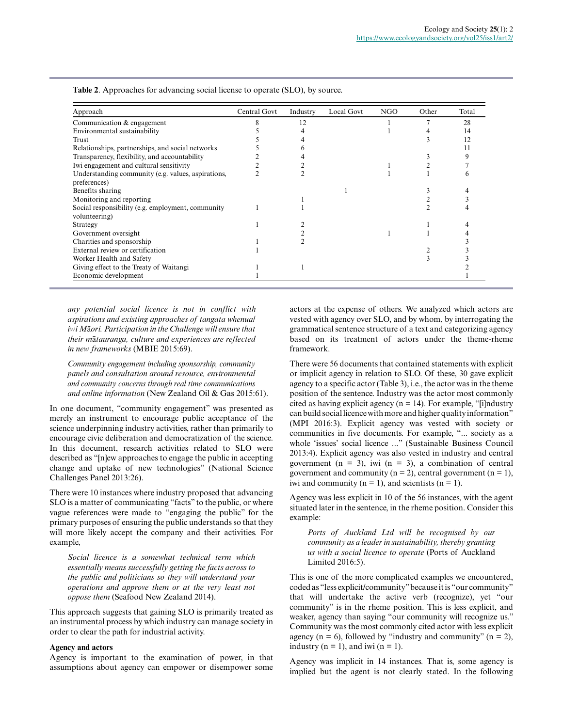| Approach                                           | Central Govt | Industry | Local Govt | NGO | Other | Total |
|----------------------------------------------------|--------------|----------|------------|-----|-------|-------|
| Communication & engagement                         |              | 12       |            |     |       | 28    |
| Environmental sustainability                       |              |          |            |     |       | 14    |
| Trust                                              |              |          |            |     |       | 12    |
| Relationships, partnerships, and social networks   |              |          |            |     |       |       |
| Transparency, flexibility, and accountability      |              |          |            |     |       |       |
| Iwi engagement and cultural sensitivity            |              |          |            |     |       |       |
| Understanding community (e.g. values, aspirations, |              |          |            |     |       |       |
| preferences)                                       |              |          |            |     |       |       |
| Benefits sharing                                   |              |          |            |     |       |       |
| Monitoring and reporting                           |              |          |            |     |       |       |
| Social responsibility (e.g. employment, community  |              |          |            |     |       |       |
| volunteering)                                      |              |          |            |     |       |       |
| Strategy                                           |              |          |            |     |       |       |
| Government oversight                               |              |          |            |     |       |       |
| Charities and sponsorship                          |              |          |            |     |       |       |
| External review or certification                   |              |          |            |     |       |       |
| Worker Health and Safety                           |              |          |            |     |       |       |
| Giving effect to the Treaty of Waitangi            |              |          |            |     |       |       |
| Economic development                               |              |          |            |     |       |       |

**Table 2**. Approaches for advancing social license to operate (SLO), by source.

*any potential social licence is not in conflict with aspirations and existing approaches of tangata whenua/ iwi M*ā*ori. Participation in the Challenge will ensure that their m*ā*tauranga, culture and experiences are reflected in new frameworks* (MBIE 2015:69).

*Community engagement including sponsorship, community panels and consultation around resource, environmental and community concerns through real time communications and online information* (New Zealand Oil & Gas 2015:61).

In one document, "community engagement" was presented as merely an instrument to encourage public acceptance of the science underpinning industry activities, rather than primarily to encourage civic deliberation and democratization of the science. In this document, research activities related to SLO were described as "[n]ew approaches to engage the public in accepting change and uptake of new technologies" (National Science Challenges Panel 2013:26).

There were 10 instances where industry proposed that advancing SLO is a matter of communicating "facts" to the public, or where vague references were made to "engaging the public" for the primary purposes of ensuring the public understands so that they will more likely accept the company and their activities. For example,

*Social licence is a somewhat technical term which essentially means successfully getting the facts across to the public and politicians so they will understand your operations and approve them or at the very least not oppose them* (Seafood New Zealand 2014).

This approach suggests that gaining SLO is primarily treated as an instrumental process by which industry can manage society in order to clear the path for industrial activity.

#### **Agency and actors**

Agency is important to the examination of power, in that assumptions about agency can empower or disempower some actors at the expense of others. We analyzed which actors are vested with agency over SLO, and by whom, by interrogating the grammatical sentence structure of a text and categorizing agency based on its treatment of actors under the theme-rheme framework.

There were 56 documents that contained statements with explicit or implicit agency in relation to SLO. Of these, 30 gave explicit agency to a specific actor (Table 3), i.e., the actor was in the theme position of the sentence. Industry was the actor most commonly cited as having explicit agency ( $n = 14$ ). For example, "[i]ndustry can build social licence with more and higher quality information" (MPI 2016:3). Explicit agency was vested with society or communities in five documents. For example, "... society as a whole 'issues' social licence ..." (Sustainable Business Council 2013:4). Explicit agency was also vested in industry and central government ( $n = 3$ ), iwi ( $n = 3$ ), a combination of central government and community ( $n = 2$ ), central government ( $n = 1$ ), iwi and community ( $n = 1$ ), and scientists ( $n = 1$ ).

Agency was less explicit in 10 of the 56 instances, with the agent situated later in the sentence, in the rheme position. Consider this example:

*Ports of Auckland Ltd will be recognised by our community as a leader in sustainability, thereby granting us with a social licence to operate* (Ports of Auckland Limited 2016:5).

This is one of the more complicated examples we encountered, coded as "less explicit/community" because it is "our community" that will undertake the active verb (recognize), yet "our community" is in the rheme position. This is less explicit, and weaker, agency than saying "our community will recognize us." Community was the most commonly cited actor with less explicit agency ( $n = 6$ ), followed by "industry and community" ( $n = 2$ ), industry ( $n = 1$ ), and iwi ( $n = 1$ ).

Agency was implicit in 14 instances. That is, some agency is implied but the agent is not clearly stated. In the following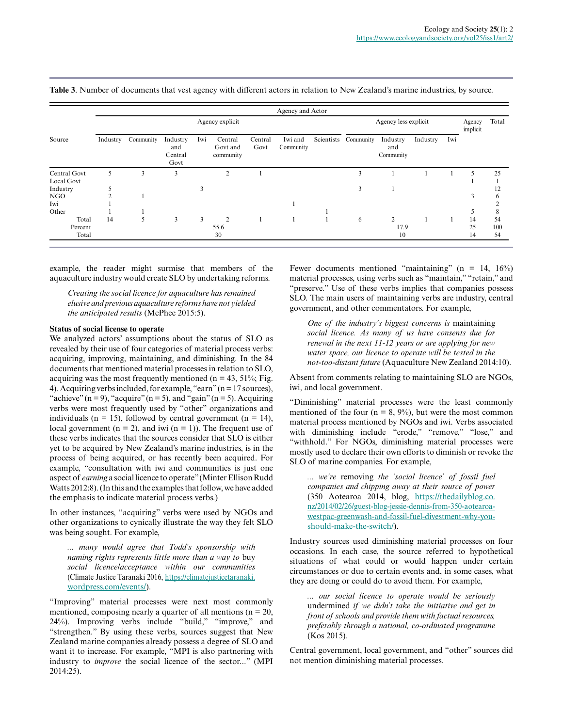|              |          |           |                                    |     |                                  |                 | Agency and Actor     |            |           |                              |          |     |                    |       |
|--------------|----------|-----------|------------------------------------|-----|----------------------------------|-----------------|----------------------|------------|-----------|------------------------------|----------|-----|--------------------|-------|
|              |          |           |                                    |     | Agency explicit                  |                 |                      |            |           | Agency less explicit         |          |     | Agency<br>implicit | Total |
| Source       | Industry | Community | Industry<br>and<br>Central<br>Govt | Iwi | Central<br>Govt and<br>community | Central<br>Govt | Iwi and<br>Community | Scientists | Community | Industry<br>and<br>Community | Industry | Iwi |                    |       |
| Central Govt | 5        | 3         | 3                                  |     | $\overline{c}$                   |                 |                      |            | 3         |                              |          |     | 5                  | 25    |
| Local Govt   |          |           |                                    |     |                                  |                 |                      |            |           |                              |          |     |                    |       |
| Industry     |          |           |                                    | 3   |                                  |                 |                      |            | 3         |                              |          |     |                    | 12    |
| NGO          |          |           |                                    |     |                                  |                 |                      |            |           |                              |          |     | 3                  | 6     |
| Iwi          |          |           |                                    |     |                                  |                 |                      |            |           |                              |          |     |                    |       |
| Other        |          |           |                                    |     |                                  |                 |                      |            |           |                              |          |     |                    | 8     |
| Total        | 14       |           | 3                                  | 3   | $\overline{2}$                   |                 |                      |            | 6         | 2                            |          |     | 14                 | 54    |
| Percent      |          |           |                                    |     | 55.6                             |                 |                      |            |           | 17.9                         |          |     | 25                 | 100   |
| Total        |          |           |                                    |     | 30                               |                 |                      |            |           | 10                           |          |     | 14                 | 54    |

**Table 3**. Number of documents that vest agency with different actors in relation to New Zealand's marine industries, by source.

example, the reader might surmise that members of the aquaculture industry would create SLO by undertaking reforms.

*Creating the social licence for aquaculture has remained elusive and previous aquaculture reforms have not yielded the anticipated results* (McPhee 2015:5).

#### **Status of social license to operate**

We analyzed actors' assumptions about the status of SLO as revealed by their use of four categories of material process verbs: acquiring, improving, maintaining, and diminishing. In the 84 documents that mentioned material processes in relation to SLO, acquiring was the most frequently mentioned (n = 43, 51%; Fig. 4). Acquiring verbs included, for example, "earn" (n = 17 sources), "achieve"  $(n = 9)$ , "acquire"  $(n = 5)$ , and "gain"  $(n = 5)$ . Acquiring verbs were most frequently used by "other" organizations and individuals ( $n = 15$ ), followed by central government ( $n = 14$ ), local government ( $n = 2$ ), and iwi ( $n = 1$ )). The frequent use of these verbs indicates that the sources consider that SLO is either yet to be acquired by New Zealand's marine industries, is in the process of being acquired, or has recently been acquired. For example, "consultation with iwi and communities is just one aspect of *earning* a social licence to operate" (Minter Ellison Rudd Watts 2012:8). (In this and the examples that follow, we have added the emphasis to indicate material process verbs.)

In other instances, "acquiring" verbs were used by NGOs and other organizations to cynically illustrate the way they felt SLO was being sought. For example,

*... many would agree that Todd's sponsorship with naming rights represents little more than a way to* buy *social licence/acceptance within our communities* (Climate Justice Taranaki 2016, [https://climatejusticetaranaki.](https://climatejusticetaranaki.wordpress.com/events/) [wordpress.com/events/\)](https://climatejusticetaranaki.wordpress.com/events/).

"Improving" material processes were next most commonly mentioned, composing nearly a quarter of all mentions ( $n = 20$ , 24%). Improving verbs include "build," "improve," and "strengthen." By using these verbs, sources suggest that New Zealand marine companies already possess a degree of SLO and want it to increase. For example, "MPI is also partnering with industry to *improve* the social licence of the sector..." (MPI 2014:25).

Fewer documents mentioned "maintaining" (n = 14,  $16\%$ ) material processes, using verbs such as "maintain," "retain," and "preserve." Use of these verbs implies that companies possess SLO. The main users of maintaining verbs are industry, central government, and other commentators. For example,

*One of the industry's biggest concerns is* maintaining *social licence. As many of us have consents due for renewal in the next 11-12 years or are applying for new water space, our licence to operate will be tested in the not-too-distant future* (Aquaculture New Zealand 2014:10).

Absent from comments relating to maintaining SLO are NGOs, iwi, and local government.

"Diminishing" material processes were the least commonly mentioned of the four ( $n = 8, 9\%$ ), but were the most common material process mentioned by NGOs and iwi. Verbs associated with diminishing include "erode," "remove," "lose," and "withhold." For NGOs, diminishing material processes were mostly used to declare their own efforts to diminish or revoke the SLO of marine companies. For example,

*... we're* removing *the 'social licence' of fossil fuel companies and chipping away at their source of power* (350 Aotearoa 2014, blog, [https://thedailyblog.co.](https://thedailyblog.co.nz/2014/02/26/guest-blog-jessie-dennis-from-350-aotearoa-westpac-greenwash-and-fossil-fuel-divestment-why-you-should-make-the-switch/) [nz/2014/02/26/guest-blog-jessie-dennis-from-350-aotearoa](https://thedailyblog.co.nz/2014/02/26/guest-blog-jessie-dennis-from-350-aotearoa-westpac-greenwash-and-fossil-fuel-divestment-why-you-should-make-the-switch/)[westpac-greenwash-and-fossil-fuel-divestment-why-you](https://thedailyblog.co.nz/2014/02/26/guest-blog-jessie-dennis-from-350-aotearoa-westpac-greenwash-and-fossil-fuel-divestment-why-you-should-make-the-switch/)[should-make-the-switch/](https://thedailyblog.co.nz/2014/02/26/guest-blog-jessie-dennis-from-350-aotearoa-westpac-greenwash-and-fossil-fuel-divestment-why-you-should-make-the-switch/)).

Industry sources used diminishing material processes on four occasions. In each case, the source referred to hypothetical situations of what could or would happen under certain circumstances or due to certain events and, in some cases, what they are doing or could do to avoid them. For example,

*... our social licence to operate would be seriously* undermined *if we didn't take the initiative and get in front of schools and provide them with factual resources, preferably through a national, co-ordinated programme* (Kos 2015).

Central government, local government, and "other" sources did not mention diminishing material processes.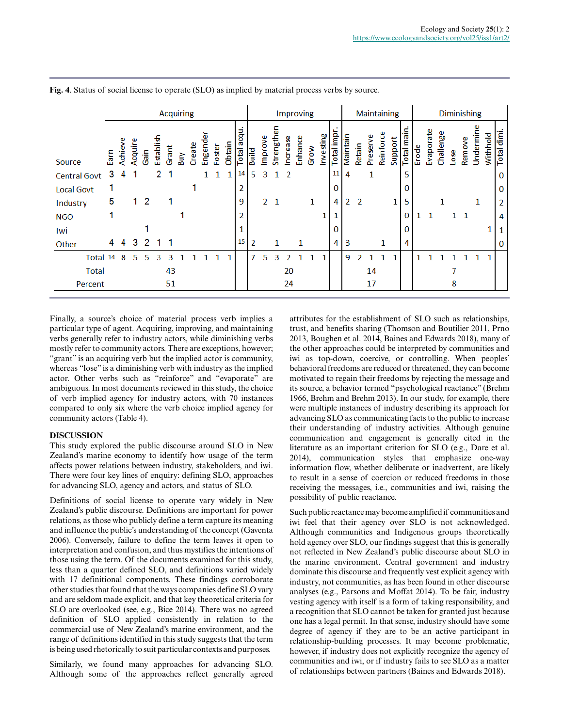|                     | <b>Acquiring</b> |         |         |      |           |       |     |        | Improving |        |        |                |                |         | Maintaining    |          |         |      |           |            | <b>Diminishing</b> |        |          |           |         |            |       |              |           |      |           |          |          |            |
|---------------------|------------------|---------|---------|------|-----------|-------|-----|--------|-----------|--------|--------|----------------|----------------|---------|----------------|----------|---------|------|-----------|------------|--------------------|--------|----------|-----------|---------|------------|-------|--------------|-----------|------|-----------|----------|----------|------------|
| Source              | Earn             | Achieve | Acquire | Gain | Establish | Grant | Вuу | Create | Engende   | Foster | Obtain | acqu.<br>Total | Build          | Improve | 5<br>Strength  | Increase | Enhance | Grow | Investing | Total impi | Maintain           | Retain | Preserve | Reinforce | Support | Total main | Erode | Evaporate    | Challenge | Lose | Remove    | Undermin | Withhold | Total dimi |
| <b>Central Govt</b> | 3                | 4       | -1      |      | 2         |       |     |        | 1         | 1      | 1      | 14             | 5              | 3       | 1              | -2       |         |      |           | 11         | 4                  |        | 1        |           |         | 5          |       |              |           |      |           |          |          | 0          |
| <b>Local Govt</b>   |                  |         |         |      |           |       |     |        |           |        |        | 2              |                |         |                |          |         |      |           | 0          |                    |        |          |           |         | 0          |       |              |           |      |           |          |          | 0          |
| Industry            | 5                |         | 1.      | -2   |           |       |     |        |           |        |        | 9              |                |         | 2 <sub>1</sub> |          |         | 1    |           | 4          | 2                  | 2      |          |           | 1       | 5          |       |              |           |      |           | 1        |          | 2          |
| <b>NGO</b>          |                  |         |         |      |           |       |     |        |           |        |        | 2              |                |         |                |          |         |      | 1         |            |                    |        |          |           |         | 0          | 1     | $\mathbf{1}$ |           |      | $1\quad1$ |          |          | 4          |
| Iwi                 |                  |         |         |      |           |       |     |        |           |        |        |                |                |         |                |          |         |      |           | 0          |                    |        |          |           |         | 0          |       |              |           |      |           |          |          |            |
| Other               | 4                | 4       | 3       | 2    | 1         |       |     |        |           |        |        | 15             | $\overline{2}$ |         | 1              |          | 1       |      |           | 4          | 3                  |        |          | 1         |         | 4          |       |              |           |      |           |          |          | 0          |
| Total 14            |                  | 8       | 5.      | 5    | ٩         | ٩     |     |        |           |        |        |                | 7              | 5       | ٩              |          |         |      |           |            | 9                  |        |          |           |         |            |       |              |           |      |           |          |          |            |
| <b>Total</b>        |                  |         |         |      |           | 43    |     |        |           |        |        |                |                |         |                | 20       |         |      |           |            |                    |        | 14       |           |         |            |       |              |           |      |           |          |          |            |
| Percent             |                  |         |         |      |           | 51    |     |        |           |        |        |                |                |         |                | 24       |         |      |           |            |                    |        | 17       |           |         |            |       |              |           | 8    |           |          |          |            |

**Fig. 4**. Status of social license to operate (SLO) as implied by material process verbs by source.

Finally, a source's choice of material process verb implies a particular type of agent. Acquiring, improving, and maintaining verbs generally refer to industry actors, while diminishing verbs mostly refer to community actors. There are exceptions, however; "grant" is an acquiring verb but the implied actor is community, whereas "lose" is a diminishing verb with industry as the implied actor. Other verbs such as "reinforce" and "evaporate" are ambiguous. In most documents reviewed in this study, the choice of verb implied agency for industry actors, with 70 instances compared to only six where the verb choice implied agency for community actors (Table 4).

#### **DISCUSSION**

This study explored the public discourse around SLO in New Zealand's marine economy to identify how usage of the term affects power relations between industry, stakeholders, and iwi. There were four key lines of enquiry: defining SLO, approaches for advancing SLO, agency and actors, and status of SLO.

Definitions of social license to operate vary widely in New Zealand's public discourse. Definitions are important for power relations, as those who publicly define a term capture its meaning and influence the public's understanding of the concept (Gaventa 2006). Conversely, failure to define the term leaves it open to interpretation and confusion, and thus mystifies the intentions of those using the term. Of the documents examined for this study, less than a quarter defined SLO, and definitions varied widely with 17 definitional components. These findings corroborate other studies that found that the ways companies define SLO vary and are seldom made explicit, and that key theoretical criteria for SLO are overlooked (see, e.g., Bice 2014). There was no agreed definition of SLO applied consistently in relation to the commercial use of New Zealand's marine environment, and the range of definitions identified in this study suggests that the term is being used rhetorically to suit particular contexts and purposes.

Similarly, we found many approaches for advancing SLO. Although some of the approaches reflect generally agreed attributes for the establishment of SLO such as relationships, trust, and benefits sharing (Thomson and Boutilier 2011, Prno 2013, Boughen et al. 2014, Baines and Edwards 2018), many of the other approaches could be interpreted by communities and iwi as top-down, coercive, or controlling. When peoples' behavioral freedoms are reduced or threatened, they can become motivated to regain their freedoms by rejecting the message and its source, a behavior termed "psychological reactance" (Brehm 1966, Brehm and Brehm 2013). In our study, for example, there were multiple instances of industry describing its approach for advancing SLO as communicating facts to the public to increase their understanding of industry activities. Although genuine communication and engagement is generally cited in the literature as an important criterion for SLO (e.g., Dare et al. 2014), communication styles that emphasize one-way information flow, whether deliberate or inadvertent, are likely to result in a sense of coercion or reduced freedoms in those receiving the messages, i.e., communities and iwi, raising the possibility of public reactance.

Such public reactance may become amplified if communities and iwi feel that their agency over SLO is not acknowledged. Although communities and Indigenous groups theoretically hold agency over SLO, our findings suggest that this is generally not reflected in New Zealand's public discourse about SLO in the marine environment. Central government and industry dominate this discourse and frequently vest explicit agency with industry, not communities, as has been found in other discourse analyses (e.g., Parsons and Moffat 2014). To be fair, industry vesting agency with itself is a form of taking responsibility, and a recognition that SLO cannot be taken for granted just because one has a legal permit. In that sense, industry should have some degree of agency if they are to be an active participant in relationship-building processes. It may become problematic, however, if industry does not explicitly recognize the agency of communities and iwi, or if industry fails to see SLO as a matter of relationships between partners (Baines and Edwards 2018).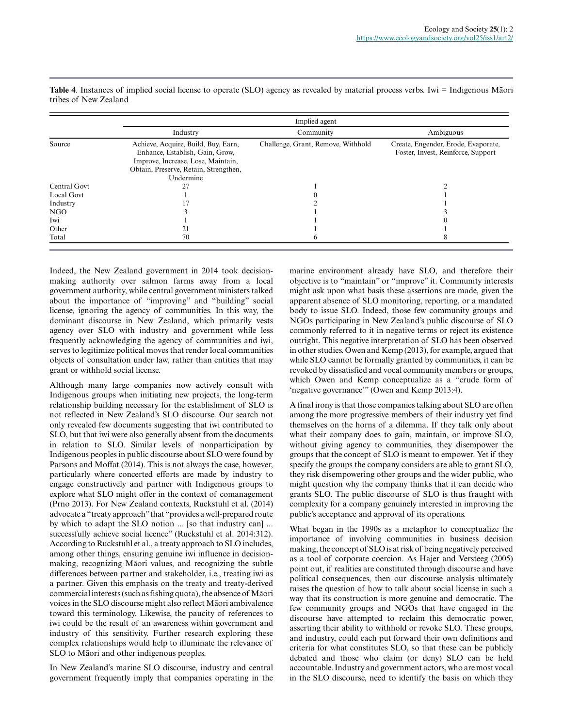|              |                                                                                                                                                                    | Implied agent                      |                                                                           |
|--------------|--------------------------------------------------------------------------------------------------------------------------------------------------------------------|------------------------------------|---------------------------------------------------------------------------|
|              | Industry                                                                                                                                                           | Community                          | Ambiguous                                                                 |
| Source       | Achieve, Acquire, Build, Buy, Earn,<br>Enhance, Establish, Gain, Grow,<br>Improve, Increase, Lose, Maintain,<br>Obtain, Preserve, Retain, Strengthen,<br>Undermine | Challenge, Grant, Remove, Withhold | Create, Engender, Erode, Evaporate,<br>Foster, Invest, Reinforce, Support |
| Central Govt |                                                                                                                                                                    |                                    |                                                                           |
| Local Govt   |                                                                                                                                                                    |                                    |                                                                           |
| Industry     |                                                                                                                                                                    |                                    |                                                                           |
| NGO          |                                                                                                                                                                    |                                    |                                                                           |
| Iwi          |                                                                                                                                                                    |                                    |                                                                           |
| Other        | 21                                                                                                                                                                 |                                    |                                                                           |
| Total        | 70                                                                                                                                                                 |                                    |                                                                           |

**Table 4**. Instances of implied social license to operate (SLO) agency as revealed by material process verbs. Iwi = Indigenous Māori tribes of New Zealand

Indeed, the New Zealand government in 2014 took decisionmaking authority over salmon farms away from a local government authority, while central government ministers talked about the importance of "improving" and "building" social license, ignoring the agency of communities. In this way, the dominant discourse in New Zealand, which primarily vests agency over SLO with industry and government while less frequently acknowledging the agency of communities and iwi, serves to legitimize political moves that render local communities objects of consultation under law, rather than entities that may grant or withhold social license.

Although many large companies now actively consult with Indigenous groups when initiating new projects, the long-term relationship building necessary for the establishment of SLO is not reflected in New Zealand's SLO discourse. Our search not only revealed few documents suggesting that iwi contributed to SLO, but that iwi were also generally absent from the documents in relation to SLO. Similar levels of nonparticipation by Indigenous peoples in public discourse about SLO were found by Parsons and Moffat (2014). This is not always the case, however, particularly where concerted efforts are made by industry to engage constructively and partner with Indigenous groups to explore what SLO might offer in the context of comanagement (Prno 2013). For New Zealand contexts, Ruckstuhl et al. (2014) advocate a "treaty approach" that "provides a well-prepared route by which to adapt the SLO notion ... [so that industry can] ... successfully achieve social licence" (Ruckstuhl et al. 2014:312). According to Ruckstuhl et al., a treaty approach to SLO includes, among other things, ensuring genuine iwi influence in decisionmaking, recognizing Māori values, and recognizing the subtle differences between partner and stakeholder, i.e., treating iwi as a partner. Given this emphasis on the treaty and treaty-derived commercial interests (such as fishing quota), the absence of Māori voices in the SLO discourse might also reflect Māori ambivalence toward this terminology. Likewise, the paucity of references to iwi could be the result of an awareness within government and industry of this sensitivity. Further research exploring these complex relationships would help to illuminate the relevance of SLO to Māori and other indigenous peoples.

In New Zealand's marine SLO discourse, industry and central government frequently imply that companies operating in the marine environment already have SLO, and therefore their objective is to "maintain" or "improve" it. Community interests might ask upon what basis these assertions are made, given the apparent absence of SLO monitoring, reporting, or a mandated body to issue SLO. Indeed, those few community groups and NGOs participating in New Zealand's public discourse of SLO commonly referred to it in negative terms or reject its existence outright. This negative interpretation of SLO has been observed in other studies. Owen and Kemp (2013), for example, argued that while SLO cannot be formally granted by communities, it can be revoked by dissatisfied and vocal community members or groups, which Owen and Kemp conceptualize as a "crude form of 'negative governance'" (Owen and Kemp 2013:4).

A final irony is that those companies talking about SLO are often among the more progressive members of their industry yet find themselves on the horns of a dilemma. If they talk only about what their company does to gain, maintain, or improve SLO, without giving agency to communities, they disempower the groups that the concept of SLO is meant to empower. Yet if they specify the groups the company considers are able to grant SLO, they risk disempowering other groups and the wider public, who might question why the company thinks that it can decide who grants SLO. The public discourse of SLO is thus fraught with complexity for a company genuinely interested in improving the public's acceptance and approval of its operations.

What began in the 1990s as a metaphor to conceptualize the importance of involving communities in business decision making, the concept of SLO is at risk of being negatively perceived as a tool of corporate coercion. As Hajer and Versteeg (2005) point out, if realities are constituted through discourse and have political consequences, then our discourse analysis ultimately raises the question of how to talk about social license in such a way that its construction is more genuine and democratic. The few community groups and NGOs that have engaged in the discourse have attempted to reclaim this democratic power, asserting their ability to withhold or revoke SLO. These groups, and industry, could each put forward their own definitions and criteria for what constitutes SLO, so that these can be publicly debated and those who claim (or deny) SLO can be held accountable. Industry and government actors, who are most vocal in the SLO discourse, need to identify the basis on which they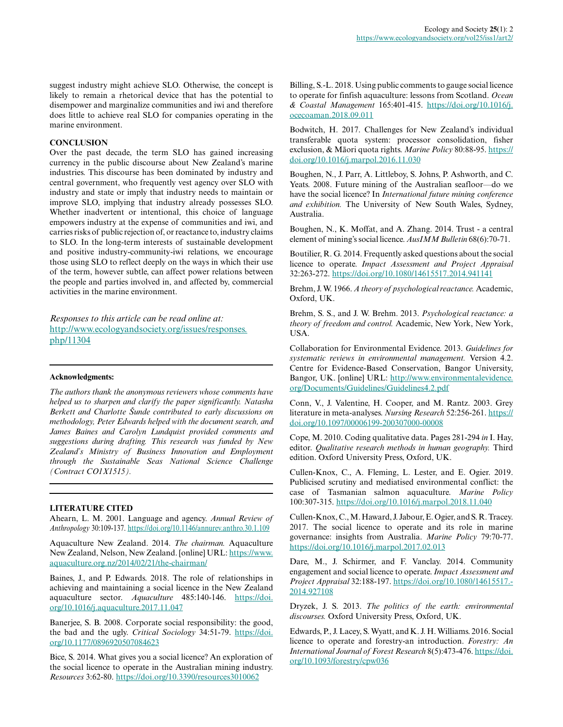suggest industry might achieve SLO. Otherwise, the concept is likely to remain a rhetorical device that has the potential to disempower and marginalize communities and iwi and therefore does little to achieve real SLO for companies operating in the marine environment.

## **CONCLUSION**

Over the past decade, the term SLO has gained increasing currency in the public discourse about New Zealand's marine industries. This discourse has been dominated by industry and central government, who frequently vest agency over SLO with industry and state or imply that industry needs to maintain or improve SLO, implying that industry already possesses SLO. Whether inadvertent or intentional, this choice of language empowers industry at the expense of communities and iwi, and carries risks of public rejection of, or reactance to, industry claims to SLO. In the long-term interests of sustainable development and positive industry-community-iwi relations, we encourage those using SLO to reflect deeply on the ways in which their use of the term, however subtle, can affect power relations between the people and parties involved in, and affected by, commercial activities in the marine environment.

*Responses to this article can be read online at:* [http://www.ecologyandsociety.org/issues/responses.](http://www.ecologyandsociety.org/issues/responses.php/11304) [php/11304](http://www.ecologyandsociety.org/issues/responses.php/11304)

#### **Acknowledgments:**

*The authors thank the anonymous reviewers whose comments have helped us to sharpen and clarify the paper significantly. Natasha Berkett and Charlotte Šunde contributed to early discussions on methodology, Peter Edwards helped with the document search, and James Baines and Carolyn Lundquist provided comments and suggestions during drafting. This research was funded by New Zealand's Ministry of Business Innovation and Employment through the Sustainable Seas National Science Challenge (Contract CO1X1515).*

#### **LITERATURE CITED**

Ahearn, L. M. 2001. Language and agency. *Annual Review of Anthropology* 30:109-137. <https://doi.org/10.1146/annurev.anthro.30.1.109>

Aquaculture New Zealand. 2014. *The chairman.* Aquaculture New Zealand, Nelson, New Zealand. [online] URL: [https://www.](https://www.aquaculture.org.nz/2014/02/21/the-chairman/) [aquaculture.org.nz/2014/02/21/the-chairman/](https://www.aquaculture.org.nz/2014/02/21/the-chairman/)

Baines, J., and P. Edwards. 2018. The role of relationships in achieving and maintaining a social licence in the New Zealand aquaculture sector. *Aquaculture* 485:140-146. [https://doi.](https://doi.org/10.1016/j.aquaculture.2017.11.047) [org/10.1016/j.aquaculture.2017.11.047](https://doi.org/10.1016/j.aquaculture.2017.11.047) 

Banerjee, S. B. 2008. Corporate social responsibility: the good, the bad and the ugly. *Critical Sociology* 34:51-79. [https://doi.](https://doi.org/10.1177/0896920507084623) [org/10.1177/0896920507084623](https://doi.org/10.1177/0896920507084623)

Bice, S. 2014. What gives you a social licence? An exploration of the social licence to operate in the Australian mining industry. *Resources* 3:62-80.<https://doi.org/10.3390/resources3010062>

Billing, S.-L. 2018. Using public comments to gauge social licence to operate for finfish aquaculture: lessons from Scotland. *Ocean & Coastal Management* 165:401-415. [https://doi.org/10.1016/j.](https://doi.org/10.1016/j.ocecoaman.2018.09.011) [ocecoaman.2018.09.011](https://doi.org/10.1016/j.ocecoaman.2018.09.011) 

Bodwitch, H. 2017. Challenges for New Zealand's individual transferable quota system: processor consolidation, fisher exclusion, & Māori quota rights. *Marine Policy* 80:88-95. [https://](https://doi.org/10.1016/j.marpol.2016.11.030) [doi.org/10.1016/j.marpol.2016.11.030](https://doi.org/10.1016/j.marpol.2016.11.030)

Boughen, N., J. Parr, A. Littleboy, S. Johns, P. Ashworth, and C. Yeats. 2008. Future mining of the Australian seafloor—do we have the social licence? In *International future mining conference and exhibition.* The University of New South Wales, Sydney, Australia.

Boughen, N., K. Moffat, and A. Zhang. 2014. Trust - a central element of mining's social licence. *AusIMM Bulletin* 68(6):70-71.

Boutilier, R. G. 2014. Frequently asked questions about the social licence to operate. *Impact Assessment and Project Appraisal* 32:263-272.<https://doi.org/10.1080/14615517.2014.941141>

Brehm, J. W. 1966. *A theory of psychological reactance.* Academic, Oxford, UK.

Brehm, S. S., and J. W. Brehm. 2013. *Psychological reactance: a theory of freedom and control.* Academic, New York, New York, USA.

Collaboration for Environmental Evidence. 2013. *Guidelines for systematic reviews in environmental management.* Version 4.2. Centre for Evidence-Based Conservation, Bangor University, Bangor, UK. [online] URL: [http://www.environmentalevidence.](http://www.environmentalevidence.org/Documents/Guidelines/Guidelines4.2.pdf) [org/Documents/Guidelines/Guidelines4.2.pdf](http://www.environmentalevidence.org/Documents/Guidelines/Guidelines4.2.pdf)

Conn, V., J. Valentine, H. Cooper, and M. Rantz. 2003. Grey literature in meta-analyses. *Nursing Research* 52:256-261. [https://](https://doi.org/10.1097/00006199-200307000-00008) [doi.org/10.1097/00006199-200307000-00008](https://doi.org/10.1097/00006199-200307000-00008) 

Cope, M. 2010. Coding qualitative data. Pages 281-294 *in* I. Hay, editor. *Qualitative research methods in human geography.* Third edition. Oxford University Press, Oxford, UK.

Cullen-Knox, C., A. Fleming, L. Lester, and E. Ogier. 2019. Publicised scrutiny and mediatised environmental conflict: the case of Tasmanian salmon aquaculture. *Marine Policy* 100:307-315. <https://doi.org/10.1016/j.marpol.2018.11.040>

Cullen-Knox, C., M. Haward, J. Jabour, E. Ogier, and S. R. Tracey. 2017. The social licence to operate and its role in marine governance: insights from Australia. *Marine Policy* 79:70-77. <https://doi.org/10.1016/j.marpol.2017.02.013>

Dare, M., J. Schirmer, and F. Vanclay. 2014. Community engagement and social licence to operate. *Impact Assessment and Project Appraisal* 32:188-197. [https://doi.org/10.1080/14615517.](https://doi.org/10.1080/14615517.2014.927108) [2014.927108](https://doi.org/10.1080/14615517.2014.927108)

Dryzek, J. S. 2013. *The politics of the earth: environmental discourses.* Oxford University Press, Oxford, UK.

Edwards, P., J. Lacey, S. Wyatt, and K. J. H. Williams. 2016. Social licence to operate and forestry-an introduction. *Forestry: An International Journal of Forest Research* 8(5):473-476. [https://doi.](https://doi.org/10.1093/forestry/cpw036) [org/10.1093/forestry/cpw036](https://doi.org/10.1093/forestry/cpw036)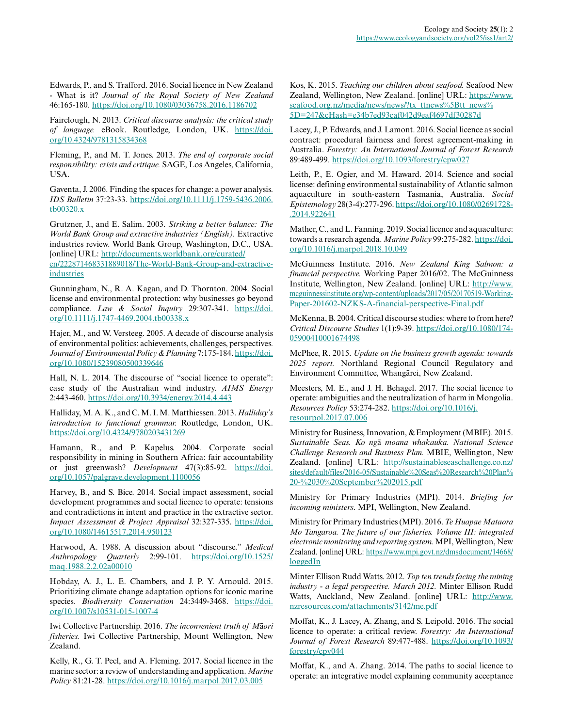Edwards, P., and S. Trafford. 2016. Social licence in New Zealand - What is it? *Journal of the Royal Society of New Zealand* 46:165-180.<https://doi.org/10.1080/03036758.2016.1186702>

Fairclough, N. 2013. *Critical discourse analysis: the critical study of language.* eBook. Routledge, London, UK. [https://doi.](https://doi.org/10.4324/9781315834368) [org/10.4324/9781315834368](https://doi.org/10.4324/9781315834368) 

Fleming, P., and M. T. Jones. 2013. *The end of corporate social responsibility: crisis and critique.* SAGE, Los Angeles, California, **I**ISA.

Gaventa, J. 2006. Finding the spaces for change: a power analysis. *IDS Bulletin* 37:23-33. [https://doi.org/10.1111/j.1759-5436.2006.](https://doi.org/10.1111/j.1759-5436.2006.tb00320.x) [tb00320.x](https://doi.org/10.1111/j.1759-5436.2006.tb00320.x)

Grutzner, J., and E. Salim. 2003. *Striking a better balance: The World Bank Group and extractive industries (English).* Extractive industries review. World Bank Group, Washington, D.C., USA. [online] URL: [http://documents.worldbank.org/curated/](http://documents.worldbank.org/curated/en/222871468331889018/The-World-Bank-Group-and-extractive-industries) [en/222871468331889018/The-World-Bank-Group-and-extractive](http://documents.worldbank.org/curated/en/222871468331889018/The-World-Bank-Group-and-extractive-industries)[industries](http://documents.worldbank.org/curated/en/222871468331889018/The-World-Bank-Group-and-extractive-industries)

Gunningham, N., R. A. Kagan, and D. Thornton. 2004. Social license and environmental protection: why businesses go beyond compliance. *Law & Social Inquiry* 29:307-341. [https://doi.](https://doi.org/10.1111/j.1747-4469.2004.tb00338.x) [org/10.1111/j.1747-4469.2004.tb00338.x](https://doi.org/10.1111/j.1747-4469.2004.tb00338.x)

Hajer, M., and W. Versteeg. 2005. A decade of discourse analysis of environmental politics: achievements, challenges, perspectives. *Journal of Environmental Policy & Planning* 7:175-184. [https://doi.](https://doi.org/10.1080/15239080500339646) [org/10.1080/15239080500339646](https://doi.org/10.1080/15239080500339646) 

Hall, N. L. 2014. The discourse of "social licence to operate": case study of the Australian wind industry. *AIMS Energy* 2:443-460. <https://doi.org/10.3934/energy.2014.4.443>

Halliday, M. A. K., and C. M. I. M. Matthiessen. 2013. *Halliday's introduction to functional grammar.* Routledge, London, UK. <https://doi.org/10.4324/9780203431269>

Hamann, R., and P. Kapelus. 2004. Corporate social responsibility in mining in Southern Africa: fair accountability or just greenwash? *Development* 47(3):85-92. [https://doi.](https://doi.org/10.1057/palgrave.development.1100056) [org/10.1057/palgrave.development.1100056](https://doi.org/10.1057/palgrave.development.1100056) 

Harvey, B., and S. Bice. 2014. Social impact assessment, social development programmes and social licence to operate: tensions and contradictions in intent and practice in the extractive sector. *Impact Assessment & Project Appraisal* 32:327-335. [https://doi.](https://doi.org/10.1080/14615517.2014.950123) [org/10.1080/14615517.2014.950123](https://doi.org/10.1080/14615517.2014.950123)

Harwood, A. 1988. A discussion about "discourse." *Medical Anthropology Quarterly* 2:99-101. [https://doi.org/10.1525/](https://doi.org/10.1525/maq.1988.2.2.02a00010) mag.1988.2.2.02a00010

Hobday, A. J., L. E. Chambers, and J. P. Y. Arnould. 2015. Prioritizing climate change adaptation options for iconic marine species. *Biodiversity Conservation* 24:3449-3468. [https://doi.](https://doi.org/10.1007/s10531-015-1007-4) [org/10.1007/s10531-015-1007-4](https://doi.org/10.1007/s10531-015-1007-4)

Iwi Collective Partnership. 2016. *The inconvenient truth of M*ā*ori fisheries.* Iwi Collective Partnership, Mount Wellington, New Zealand.

Kelly, R., G. T. Pecl, and A. Fleming. 2017. Social licence in the marine sector: a review of understanding and application. *Marine Policy* 81:21-28.<https://doi.org/10.1016/j.marpol.2017.03.005>

Kos, K. 2015. *Teaching our children about seafood.* Seafood New Zealand, Wellington, New Zealand. [online] URL: [https://www.](https://www.seafood.org.nz/media/news/news/?tx_ttnews%5Btt_news%5D=247&cHash=e34b7ed93caf042d9eaf4697df30287d) [seafood.org.nz/media/news/news/?tx\\_ttnews%5Btt\\_news%](https://www.seafood.org.nz/media/news/news/?tx_ttnews%5Btt_news%5D=247&cHash=e34b7ed93caf042d9eaf4697df30287d) [5D=247&cHash=e34b7ed93caf042d9eaf4697df30287d](https://www.seafood.org.nz/media/news/news/?tx_ttnews%5Btt_news%5D=247&cHash=e34b7ed93caf042d9eaf4697df30287d)

Lacey, J., P. Edwards, and J. Lamont. 2016. Social licence as social contract: procedural fairness and forest agreement-making in Australia. *Forestry: An International Journal of Forest Research* 89:489-499.<https://doi.org/10.1093/forestry/cpw027>

Leith, P., E. Ogier, and M. Haward. 2014. Science and social license: defining environmental sustainability of Atlantic salmon aquaculture in south-eastern Tasmania, Australia. *Social Epistemology* 28(3-4):277-296. [https://doi.org/10.1080/02691728](https://doi.org/10.1080/02691728.2014.922641) [.2014.922641](https://doi.org/10.1080/02691728.2014.922641) 

Mather, C., and L. Fanning. 2019. Social licence and aquaculture: towards a research agenda. Marine Policy 99:275-282. [https://doi.](https://doi.org/10.1016/j.marpol.2018.10.049) [org/10.1016/j.marpol.2018.10.049](https://doi.org/10.1016/j.marpol.2018.10.049) 

McGuinness Institute. 2016. *New Zealand King Salmon: a financial perspective.* Working Paper 2016/02. The McGuinness Institute, Wellington, New Zealand. [online] URL: [http://www.](http://www.mcguinnessinstitute.org/wp-content/uploads/2017/05/20170519-Working-Paper-201602-NZKS-A-financial-perspective-Final.pdf) [mcguinnessinstitute.org/wp-content/uploads/2017/05/20170519-Working-](http://www.mcguinnessinstitute.org/wp-content/uploads/2017/05/20170519-Working-Paper-201602-NZKS-A-financial-perspective-Final.pdf)[Paper-201602-NZKS-A-financial-perspective-Final.pdf](http://www.mcguinnessinstitute.org/wp-content/uploads/2017/05/20170519-Working-Paper-201602-NZKS-A-financial-perspective-Final.pdf)

McKenna, B. 2004. Critical discourse studies: where to from here? *Critical Discourse Studies* 1(1):9-39. [https://doi.org/10.1080/174](https://doi.org/10.1080/17405900410001674498) [05900410001674498](https://doi.org/10.1080/17405900410001674498) 

McPhee, R. 2015. *Update on the business growth agenda: towards 2025 report.* Northland Regional Council Regulatory and Environment Committee, Whangārei, New Zealand.

Meesters, M. E., and J. H. Behagel. 2017. The social licence to operate: ambiguities and the neutralization of harm in Mongolia. *Resources Policy* 53:274-282. [https://doi.org/10.1016/j.](https://doi.org/10.1016/j.resourpol.2017.07.006) [resourpol.2017.07.006](https://doi.org/10.1016/j.resourpol.2017.07.006)

Ministry for Business, Innovation, & Employment (MBIE). 2015. *Sustainable Seas. Ko ng*ā *moana whakauka. National Science Challenge Research and Business Plan.* MBIE, Wellington, New Zealand. [online] URL: [http://sustainableseaschallenge.co.nz/](http://sustainableseaschallenge.co.nz/sites/default/files/2016-05/Sustainable%20Seas%20Research%20Plan%20-%2030%20September%202015.pdf) [sites/default/files/2016-05/Sustainable%20Seas%20Research%20Plan%](http://sustainableseaschallenge.co.nz/sites/default/files/2016-05/Sustainable%20Seas%20Research%20Plan%20-%2030%20September%202015.pdf) [20-%2030%20September%202015.pdf](http://sustainableseaschallenge.co.nz/sites/default/files/2016-05/Sustainable%20Seas%20Research%20Plan%20-%2030%20September%202015.pdf)

Ministry for Primary Industries (MPI). 2014. *Briefing for incoming ministers*. MPI, Wellington, New Zealand.

Ministry for Primary Industries (MPI). 2016. *Te Huapae Mataora Mo Tangaroa. The future of our fisheries. Volume III: integrated electronic monitoring and reporting system.* MPI, Wellington, New Zealand. [online] URL: [https://www.mpi.govt.nz/dmsdocument/14668/](https://www.mpi.govt.nz/dmsdocument/14668/loggedIn) [loggedIn](https://www.mpi.govt.nz/dmsdocument/14668/loggedIn) 

Minter Ellison Rudd Watts. 2012. *Top ten trends facing the mining industry - a legal perspective. March 2012.* Minter Ellison Rudd Watts, Auckland, New Zealand. [online] URL: [http://www.](http://www.nzresources.com/attachments/3142/me.pdf) [nzresources.com/attachments/3142/me.pdf](http://www.nzresources.com/attachments/3142/me.pdf)

Moffat, K., J. Lacey, A. Zhang, and S. Leipold. 2016. The social licence to operate: a critical review. *Forestry: An International Journal of Forest Research* 89:477-488. [https://doi.org/10.1093/](https://doi.org/10.1093/forestry/cpv044) [forestry/cpv044](https://doi.org/10.1093/forestry/cpv044) 

Moffat, K., and A. Zhang. 2014. The paths to social licence to operate: an integrative model explaining community acceptance